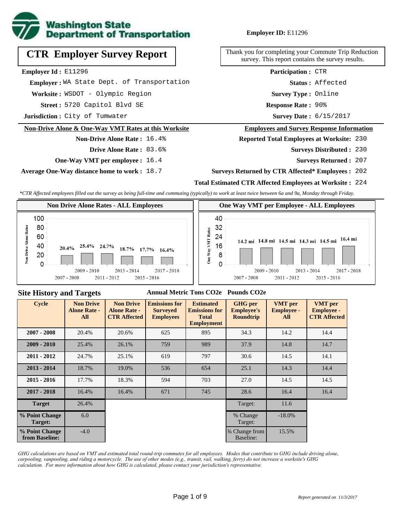

# **CTR Employer Survey Report**

**Employer Id :** E11296

 **Employer :** WA State Dept. of Transportation

Worksite: WSDOT - Olympic Region

5720 Capitol Blvd SE **Response Rate : Street :**

**Jurisdiction :** City of Tumwater

#### **Non-Drive Alone & One-Way VMT Rates at this Worksite**

**Non-Drive Alone Rate :** 16.4% **Drive Alone Rate :** 83.6%

**One-Way VMT per employee :** 16.4

**Average One-Way distance home to work :** 18.7

**Employer ID:** E11296

Thank you for completing your Commute Trip Reduction survey. This report contains the survey results.

> **Survey Type :** Online **Status :** Affected **Participation :** CTR

Response Rate: 90%

Survey Date: 6/15/2017

#### **Employees and Survey Response Information**

**Reported Total Employees at Worksite:** 230

Surveys Distributed : 230

**Surveys Returned :** 207

#### **Surveys Returned by CTR Affected\* Employees :** 202

#### **Total Estimated CTR Affected Employees at Worksite :** 224

*\*CTR Affected employees filled out the survey as being full-time and commuting (typically) to work at least twice between 6a and 9a, Monday through Friday.*



#### **Site History and Targets**

#### **Annual Metric Tons CO2e Pounds CO2e**

| <b>Cycle</b>                     | <b>Non Drive</b><br><b>Alone Rate -</b><br>All | <b>Non Drive</b><br><b>Alone Rate -</b><br><b>CTR Affected</b> | <b>Emissions for</b><br><b>Surveyed</b><br><b>Employees</b> | <b>Estimated</b><br><b>Emissions for</b><br><b>Total</b><br><b>Employment</b> | <b>GHG</b> per<br><b>Employee's</b><br><b>Roundtrip</b> | <b>VMT</b> per<br><b>Employee -</b><br>All | <b>VMT</b> per<br><b>Employee -</b><br><b>CTR Affected</b> |
|----------------------------------|------------------------------------------------|----------------------------------------------------------------|-------------------------------------------------------------|-------------------------------------------------------------------------------|---------------------------------------------------------|--------------------------------------------|------------------------------------------------------------|
| $2007 - 2008$                    | 20.4%                                          | 20.6%<br>625                                                   |                                                             | 895                                                                           |                                                         | 14.2                                       | 14.4                                                       |
| $2009 - 2010$                    | 25.4%                                          | 26.1%                                                          | 759                                                         | 989                                                                           | 37.9                                                    | 14.8                                       | 14.7                                                       |
| $2011 - 2012$                    | 24.7%                                          | 25.1%                                                          | 619                                                         | 797                                                                           | 30.6                                                    | 14.5                                       | 14.1                                                       |
| $2013 - 2014$                    | 18.7%                                          | 19.0%                                                          | 536                                                         | 654                                                                           | 25.1                                                    | 14.3                                       | 14.4                                                       |
| $2015 - 2016$                    | 17.7%                                          | 18.3%                                                          | 594                                                         | 703                                                                           | 27.0                                                    | 14.5                                       | 14.5                                                       |
| $2017 - 2018$                    | 16.4%                                          | 16.4%                                                          | 671                                                         | 745                                                                           | 28.6                                                    | 16.4                                       | 16.4                                                       |
| <b>Target</b>                    | 26.4%                                          |                                                                |                                                             |                                                                               | Target:                                                 | 11.6                                       |                                                            |
| % Point Change<br>Target:        | 6.0                                            |                                                                |                                                             |                                                                               | % Change<br>Target:                                     | $-18.0\%$                                  |                                                            |
| % Point Change<br>from Baseline: | $-4.0$                                         |                                                                |                                                             |                                                                               | % Change from<br>Baseline:                              | 15.5%                                      |                                                            |

*GHG calculations are based on VMT and estimated total round-trip commutes for all employees. Modes that contribute to GHG include driving alone, carpooling, vanpooling, and riding a motorcycle. The use of other modes (e.g., transit, rail, walking, ferry) do not increase a worksite's GHG calculation. For more information about how GHG is calculated, please contact your jurisdiction's representative.*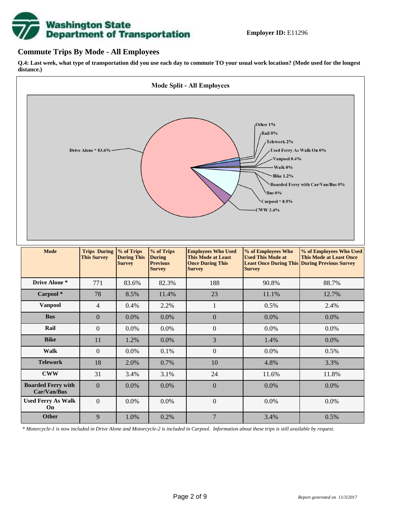# **Washington State<br>Department of Transportation**

## **Commute Trips By Mode - All Employees**

**Q.4: Last week, what type of transportation did you use each day to commute TO your usual work location? (Mode used for the longest distance.)**



*\* Motorcycle-1 is now included in Drive Alone and Motorcycle-2 is included in Carpool. Information about these trips is still available by request.*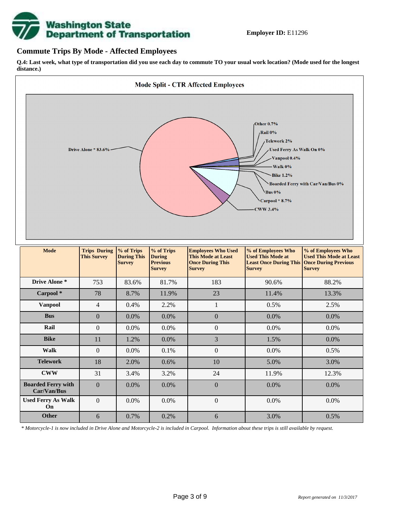

## **Commute Trips By Mode - Affected Employees**

**Q.4: Last week, what type of transportation did you use each day to commute TO your usual work location? (Mode used for the longest distance.)**



*\* Motorcycle-1 is now included in Drive Alone and Motorcycle-2 is included in Carpool. Information about these trips is still available by request.*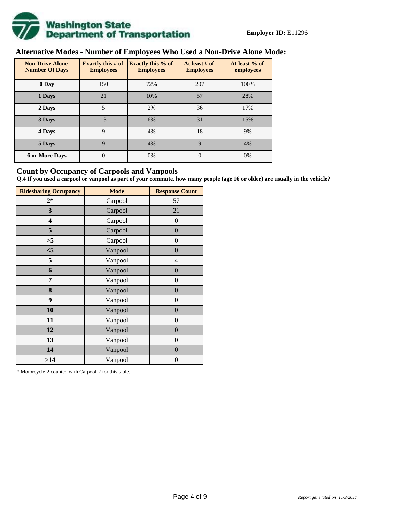

# **Alternative Modes - Number of Employees Who Used a Non-Drive Alone Mode:**

| <b>Non-Drive Alone</b><br><b>Number Of Days</b> | Exactly this $# of$<br><b>Employees</b> | <b>Exactly this % of</b><br><b>Employees</b> | At least # of<br><b>Employees</b> | At least % of<br>employees |
|-------------------------------------------------|-----------------------------------------|----------------------------------------------|-----------------------------------|----------------------------|
| 0 Day                                           | 150                                     | 72%                                          | 207                               | 100%                       |
| 1 Days                                          | 21                                      | 10%                                          | 57                                | 28%                        |
| 2 Days                                          | 5                                       | 2%                                           | 36                                | 17%                        |
| 3 Days                                          | 13                                      | 6%                                           | 31                                | 15%                        |
| 4 Days                                          | 9                                       | 4%                                           | 18                                | 9%                         |
| 5 Days                                          | 9                                       | 4%                                           | $\mathbf Q$                       | 4%                         |
| <b>6 or More Days</b>                           | $\theta$                                | 0%                                           | $\theta$                          | 0%                         |

## **Count by Occupancy of Carpools and Vanpools**

**Q.4 If you used a carpool or vanpool as part of your commute, how many people (age 16 or older) are usually in the vehicle?**

| <b>Ridesharing Occupancy</b> | <b>Mode</b> | <b>Response Count</b> |
|------------------------------|-------------|-----------------------|
| $2*$                         | Carpool     | 57                    |
| 3                            | Carpool     | 21                    |
| 4                            | Carpool     | $\boldsymbol{0}$      |
| 5                            | Carpool     | $\boldsymbol{0}$      |
| >5                           | Carpool     | $\overline{0}$        |
| $<$ 5                        | Vanpool     | $\overline{0}$        |
| 5                            | Vanpool     | $\overline{4}$        |
| 6                            | Vanpool     | $\boldsymbol{0}$      |
| 7                            | Vanpool     | $\boldsymbol{0}$      |
| 8                            | Vanpool     | $\boldsymbol{0}$      |
| 9                            | Vanpool     | $\boldsymbol{0}$      |
| 10                           | Vanpool     | $\overline{0}$        |
| 11                           | Vanpool     | $\overline{0}$        |
| 12                           | Vanpool     | $\boldsymbol{0}$      |
| 13                           | Vanpool     | $\boldsymbol{0}$      |
| 14                           | Vanpool     | $\overline{0}$        |
| >14                          | Vanpool     | $\boldsymbol{0}$      |

\* Motorcycle-2 counted with Carpool-2 for this table.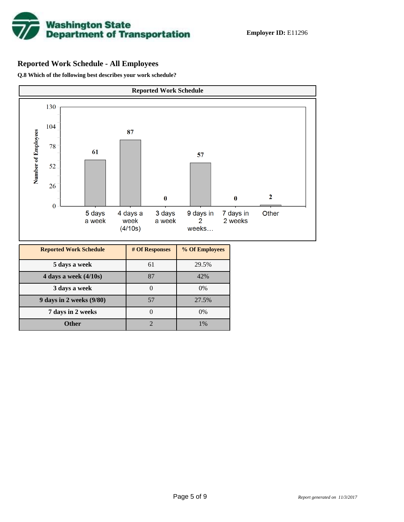

# **Reported Work Schedule - All Employees**

**Q.8 Which of the following best describes your work schedule?**

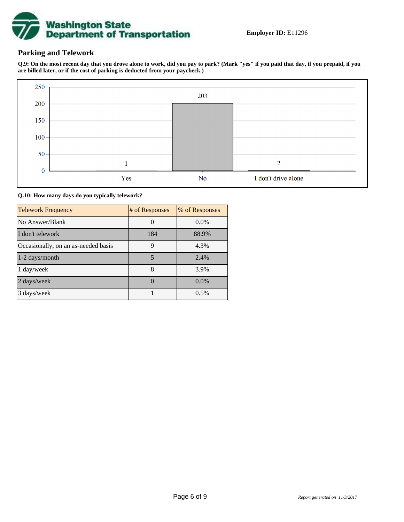

# **Parking and Telework**

**Q.9: On the most recent day that you drove alone to work, did you pay to park? (Mark "yes" if you paid that day, if you prepaid, if you are billed later, or if the cost of parking is deducted from your paycheck.)**



**Q.10: How many days do you typically telework?**

| <b>Telework Frequency</b>           | # of Responses | % of Responses |
|-------------------------------------|----------------|----------------|
| No Answer/Blank                     |                | $0.0\%$        |
| I don't telework                    | 184            | 88.9%          |
| Occasionally, on an as-needed basis | 9              | 4.3%           |
| 1-2 days/month                      | 5              | 2.4%           |
| 1 day/week                          | 8              | 3.9%           |
| 2 days/week                         |                | $0.0\%$        |
| 3 days/week                         |                | 0.5%           |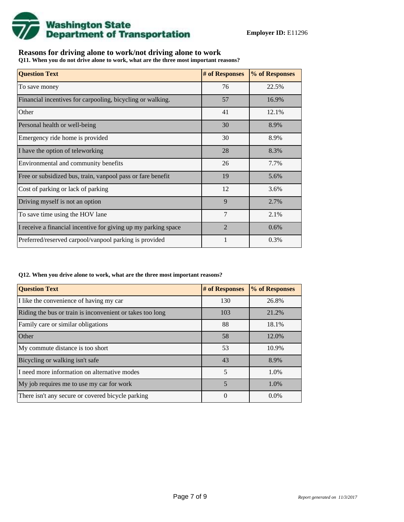

# **Reasons for driving alone to work/not driving alone to work**

**Q11. When you do not drive alone to work, what are the three most important reasons?**

| <b>Question Text</b>                                           | # of Responses | % of Responses |
|----------------------------------------------------------------|----------------|----------------|
| To save money                                                  | 76             | 22.5%          |
| Financial incentives for carpooling, bicycling or walking.     | 57             | 16.9%          |
| Other                                                          | 41             | 12.1%          |
| Personal health or well-being                                  | 30             | 8.9%           |
| Emergency ride home is provided                                | 30             | 8.9%           |
| I have the option of teleworking                               | 28             | 8.3%           |
| Environmental and community benefits                           | 26             | 7.7%           |
| Free or subsidized bus, train, vanpool pass or fare benefit    | 19             | 5.6%           |
| Cost of parking or lack of parking                             | 12             | 3.6%           |
| Driving myself is not an option                                | 9              | 2.7%           |
| To save time using the HOV lane                                | $\overline{7}$ | 2.1%           |
| I receive a financial incentive for giving up my parking space | $\overline{2}$ | 0.6%           |
| Preferred/reserved carpool/vanpool parking is provided         |                | 0.3%           |

#### **Q12. When you drive alone to work, what are the three most important reasons?**

| <b>Question Text</b>                                      | # of Responses | % of Responses |
|-----------------------------------------------------------|----------------|----------------|
| I like the convenience of having my car                   | 130            | 26.8%          |
| Riding the bus or train is inconvenient or takes too long | 103            | 21.2%          |
| Family care or similar obligations                        | 88             | 18.1%          |
| <b>Other</b>                                              | 58             | 12.0%          |
| My commute distance is too short                          | 53             | 10.9%          |
| Bicycling or walking isn't safe                           | 43             | 8.9%           |
| I need more information on alternative modes              | 5              | 1.0%           |
| My job requires me to use my car for work                 | 5              | 1.0%           |
| There isn't any secure or covered bicycle parking         | $\theta$       | $0.0\%$        |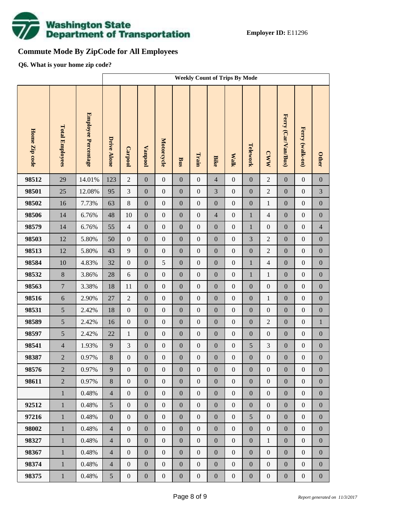

# **Commute Mode By ZipCode for All Employees**

**Q6. What is your home zip code?**

|               |                        |                     | <b>Weekly Count of Trips By Mode</b> |                  |                  |                  |                  |                  |                  |                  |                  |                  |                     |                  |                  |
|---------------|------------------------|---------------------|--------------------------------------|------------------|------------------|------------------|------------------|------------------|------------------|------------------|------------------|------------------|---------------------|------------------|------------------|
| Home Zip code | <b>Total Employees</b> | Employee Percentage | <b>Drive Alone</b>                   | Carpool          | <b>Vanpool</b>   | Motorcycle       | <b>Bus</b>       | Train            | <b>Bike</b>      | <b>Walk</b>      | Telework         | <b>CWW</b>       | Ferry (Car/Van/Bus) | Ferry (walk-on)  | <b>Other</b>     |
| 98512         | 29                     | 14.01%              | 123                                  | $\overline{2}$   | $\boldsymbol{0}$ | $\boldsymbol{0}$ | $\boldsymbol{0}$ | $\boldsymbol{0}$ | $\overline{4}$   | $\boldsymbol{0}$ | $\boldsymbol{0}$ | $\overline{2}$   | $\mathbf{0}$        | $\boldsymbol{0}$ | $\boldsymbol{0}$ |
| 98501         | 25                     | 12.08%              | 95                                   | 3                | $\boldsymbol{0}$ | $\boldsymbol{0}$ | $\boldsymbol{0}$ | $\boldsymbol{0}$ | 3                | $\boldsymbol{0}$ | $\boldsymbol{0}$ | $\overline{2}$   | $\boldsymbol{0}$    | $\boldsymbol{0}$ | 3                |
| 98502         | 16                     | 7.73%               | 63                                   | $\,8\,$          | $\boldsymbol{0}$ | $\boldsymbol{0}$ | $\boldsymbol{0}$ | $\boldsymbol{0}$ | $\boldsymbol{0}$ | $\boldsymbol{0}$ | $\boldsymbol{0}$ | $\mathbf{1}$     | $\boldsymbol{0}$    | $\boldsymbol{0}$ | $\boldsymbol{0}$ |
| 98506         | 14                     | 6.76%               | 48                                   | 10               | $\boldsymbol{0}$ | $\boldsymbol{0}$ | $\boldsymbol{0}$ | $\boldsymbol{0}$ | $\overline{4}$   | $\boldsymbol{0}$ | $\mathbf{1}$     | $\overline{4}$   | $\boldsymbol{0}$    | $\boldsymbol{0}$ | $\boldsymbol{0}$ |
| 98579         | 14                     | 6.76%               | 55                                   | $\overline{4}$   | $\boldsymbol{0}$ | $\boldsymbol{0}$ | $\boldsymbol{0}$ | $\boldsymbol{0}$ | $\boldsymbol{0}$ | $\boldsymbol{0}$ | $\mathbf{1}$     | $\boldsymbol{0}$ | $\boldsymbol{0}$    | $\boldsymbol{0}$ | $\overline{4}$   |
| 98503         | 12                     | 5.80%               | 50                                   | $\boldsymbol{0}$ | $\boldsymbol{0}$ | $\boldsymbol{0}$ | $\boldsymbol{0}$ | $\boldsymbol{0}$ | $\overline{0}$   | $\boldsymbol{0}$ | 3                | $\overline{2}$   | $\boldsymbol{0}$    | $\boldsymbol{0}$ | $\boldsymbol{0}$ |
| 98513         | 12                     | 5.80%               | 43                                   | $\overline{9}$   | $\boldsymbol{0}$ | $\boldsymbol{0}$ | $\boldsymbol{0}$ | $\boldsymbol{0}$ | $\boldsymbol{0}$ | $\boldsymbol{0}$ | $\boldsymbol{0}$ | $\overline{c}$   | $\boldsymbol{0}$    | $\boldsymbol{0}$ | $\boldsymbol{0}$ |
| 98584         | 10                     | 4.83%               | 32                                   | $\boldsymbol{0}$ | $\boldsymbol{0}$ | 5                | $\boldsymbol{0}$ | $\boldsymbol{0}$ | $\overline{0}$   | $\boldsymbol{0}$ | $\mathbf{1}$     | $\overline{4}$   | $\boldsymbol{0}$    | $\boldsymbol{0}$ | $\boldsymbol{0}$ |
| 98532         | $8\,$                  | 3.86%               | 28                                   | $\sqrt{6}$       | $\boldsymbol{0}$ | $\boldsymbol{0}$ | $\boldsymbol{0}$ | $\boldsymbol{0}$ | $\boldsymbol{0}$ | $\boldsymbol{0}$ | $\mathbf{1}$     | $\mathbf{1}$     | $\boldsymbol{0}$    | $\boldsymbol{0}$ | $\boldsymbol{0}$ |
| 98563         | $\overline{7}$         | 3.38%               | 18                                   | 11               | $\boldsymbol{0}$ | $\boldsymbol{0}$ | $\boldsymbol{0}$ | $\boldsymbol{0}$ | $\overline{0}$   | $\boldsymbol{0}$ | $\boldsymbol{0}$ | $\boldsymbol{0}$ | $\boldsymbol{0}$    | $\boldsymbol{0}$ | $\boldsymbol{0}$ |
| 98516         | $\sqrt{6}$             | 2.90%               | $27\,$                               | $\sqrt{2}$       | $\boldsymbol{0}$ | $\boldsymbol{0}$ | $\boldsymbol{0}$ | $\boldsymbol{0}$ | $\boldsymbol{0}$ | $\boldsymbol{0}$ | $\boldsymbol{0}$ | $\mathbf{1}$     | $\boldsymbol{0}$    | $\boldsymbol{0}$ | $\boldsymbol{0}$ |
| 98531         | 5                      | 2.42%               | 18                                   | $\boldsymbol{0}$ | $\boldsymbol{0}$ | $\boldsymbol{0}$ | $\boldsymbol{0}$ | $\boldsymbol{0}$ | $\overline{0}$   | $\boldsymbol{0}$ | $\boldsymbol{0}$ | $\boldsymbol{0}$ | $\boldsymbol{0}$    | $\boldsymbol{0}$ | $\boldsymbol{0}$ |
| 98589         | 5                      | 2.42%               | 16                                   | $\boldsymbol{0}$ | $\boldsymbol{0}$ | $\boldsymbol{0}$ | $\boldsymbol{0}$ | $\boldsymbol{0}$ | $\boldsymbol{0}$ | $\boldsymbol{0}$ | $\boldsymbol{0}$ | $\overline{c}$   | $\boldsymbol{0}$    | $\boldsymbol{0}$ | $\,1\,$          |
| 98597         | 5                      | 2.42%               | 22                                   | $\mathbf{1}$     | $\boldsymbol{0}$ | $\boldsymbol{0}$ | $\boldsymbol{0}$ | $\boldsymbol{0}$ | $\overline{0}$   | $\boldsymbol{0}$ | $\boldsymbol{0}$ | $\boldsymbol{0}$ | $\boldsymbol{0}$    | $\boldsymbol{0}$ | $\boldsymbol{0}$ |
| 98541         | $\overline{4}$         | 1.93%               | 9                                    | 3                | $\boldsymbol{0}$ | $\boldsymbol{0}$ | $\boldsymbol{0}$ | $\boldsymbol{0}$ | $\boldsymbol{0}$ | $\boldsymbol{0}$ | 5                | $\mathfrak{Z}$   | $\boldsymbol{0}$    | $\boldsymbol{0}$ | $\boldsymbol{0}$ |
| 98387         | $\overline{2}$         | 0.97%               | $8\,$                                | $\boldsymbol{0}$ | $\boldsymbol{0}$ | $\boldsymbol{0}$ | $\boldsymbol{0}$ | $\boldsymbol{0}$ | $\mathbf{0}$     | $\boldsymbol{0}$ | $\boldsymbol{0}$ | $\boldsymbol{0}$ | $\boldsymbol{0}$    | $\boldsymbol{0}$ | $\boldsymbol{0}$ |
| 98576         | $\overline{2}$         | $0.97\%$            | 9                                    | $\boldsymbol{0}$ | $\boldsymbol{0}$ | $\boldsymbol{0}$ | $\boldsymbol{0}$ | $\boldsymbol{0}$ | $\boldsymbol{0}$ | $\mathbf{0}$     | $\boldsymbol{0}$ | $\boldsymbol{0}$ | $\boldsymbol{0}$    | $\boldsymbol{0}$ | $\boldsymbol{0}$ |
| 98611         | $\overline{2}$         | 0.97%               | 8                                    | $\overline{0}$   | $\boldsymbol{0}$ | $\boldsymbol{0}$ | $\overline{0}$   | $\boldsymbol{0}$ | $\overline{0}$   | $\boldsymbol{0}$ | $\overline{0}$   | $\boldsymbol{0}$ | $\boldsymbol{0}$    | $\boldsymbol{0}$ | $\overline{0}$   |
|               | $\mathbf{1}$           | 0.48%               | $\overline{4}$                       | $\boldsymbol{0}$ | $\boldsymbol{0}$ | $\boldsymbol{0}$ | $\boldsymbol{0}$ | $\boldsymbol{0}$ | $\overline{0}$   | $\boldsymbol{0}$ | $\boldsymbol{0}$ | $\boldsymbol{0}$ | $\boldsymbol{0}$    | $\boldsymbol{0}$ | $\boldsymbol{0}$ |
| 92512         | $\mathbf{1}$           | 0.48%               | 5                                    | $\overline{0}$   | $\boldsymbol{0}$ | $\boldsymbol{0}$ | $\boldsymbol{0}$ | $\boldsymbol{0}$ | $\boldsymbol{0}$ | $\boldsymbol{0}$ | $\boldsymbol{0}$ | $\boldsymbol{0}$ | $\boldsymbol{0}$    | $\boldsymbol{0}$ | $\boldsymbol{0}$ |
| 97216         | $\mathbf{1}$           | 0.48%               | $\boldsymbol{0}$                     | $\boldsymbol{0}$ | $\boldsymbol{0}$ | $\boldsymbol{0}$ | $\boldsymbol{0}$ | $\boldsymbol{0}$ | $\overline{0}$   | $\boldsymbol{0}$ | 5                | $\boldsymbol{0}$ | $\boldsymbol{0}$    | $\boldsymbol{0}$ | $\boldsymbol{0}$ |
| 98002         | $\mathbf{1}$           | 0.48%               | $\overline{4}$                       | $\boldsymbol{0}$ | $\boldsymbol{0}$ | $\boldsymbol{0}$ | $\boldsymbol{0}$ | $\boldsymbol{0}$ | $\boldsymbol{0}$ | $\boldsymbol{0}$ | $\boldsymbol{0}$ | $\boldsymbol{0}$ | $\boldsymbol{0}$    | $\boldsymbol{0}$ | $\boldsymbol{0}$ |
| 98327         | $\mathbf{1}$           | 0.48%               | $\overline{4}$                       | $\boldsymbol{0}$ | $\boldsymbol{0}$ | $\boldsymbol{0}$ | $\boldsymbol{0}$ | $\boldsymbol{0}$ | $\overline{0}$   | $\boldsymbol{0}$ | $\boldsymbol{0}$ | $\mathbf{1}$     | $\boldsymbol{0}$    | $\boldsymbol{0}$ | $\boldsymbol{0}$ |
| 98367         | $\mathbf{1}$           | 0.48%               | $\overline{4}$                       | $\boldsymbol{0}$ | $\boldsymbol{0}$ | $\boldsymbol{0}$ | $\boldsymbol{0}$ | $\boldsymbol{0}$ | $\boldsymbol{0}$ | $\boldsymbol{0}$ | $\boldsymbol{0}$ | $\boldsymbol{0}$ | $\boldsymbol{0}$    | $\boldsymbol{0}$ | $\boldsymbol{0}$ |
| 98374         | $\mathbf{1}$           | 0.48%               | $\overline{4}$                       | $\boldsymbol{0}$ | $\boldsymbol{0}$ | $\boldsymbol{0}$ | $\boldsymbol{0}$ | $\boldsymbol{0}$ | $\overline{0}$   | $\boldsymbol{0}$ | $\boldsymbol{0}$ | $\boldsymbol{0}$ | $\boldsymbol{0}$    | $\boldsymbol{0}$ | $\boldsymbol{0}$ |
| 98375         | $1\,$                  | 0.48%               | $\mathfrak{S}$                       | $\boldsymbol{0}$ | $\boldsymbol{0}$ | $\boldsymbol{0}$ | $\boldsymbol{0}$ | $\boldsymbol{0}$ | $\boldsymbol{0}$ | $\boldsymbol{0}$ | $\boldsymbol{0}$ | $\boldsymbol{0}$ | $\boldsymbol{0}$    | $\boldsymbol{0}$ | $\boldsymbol{0}$ |